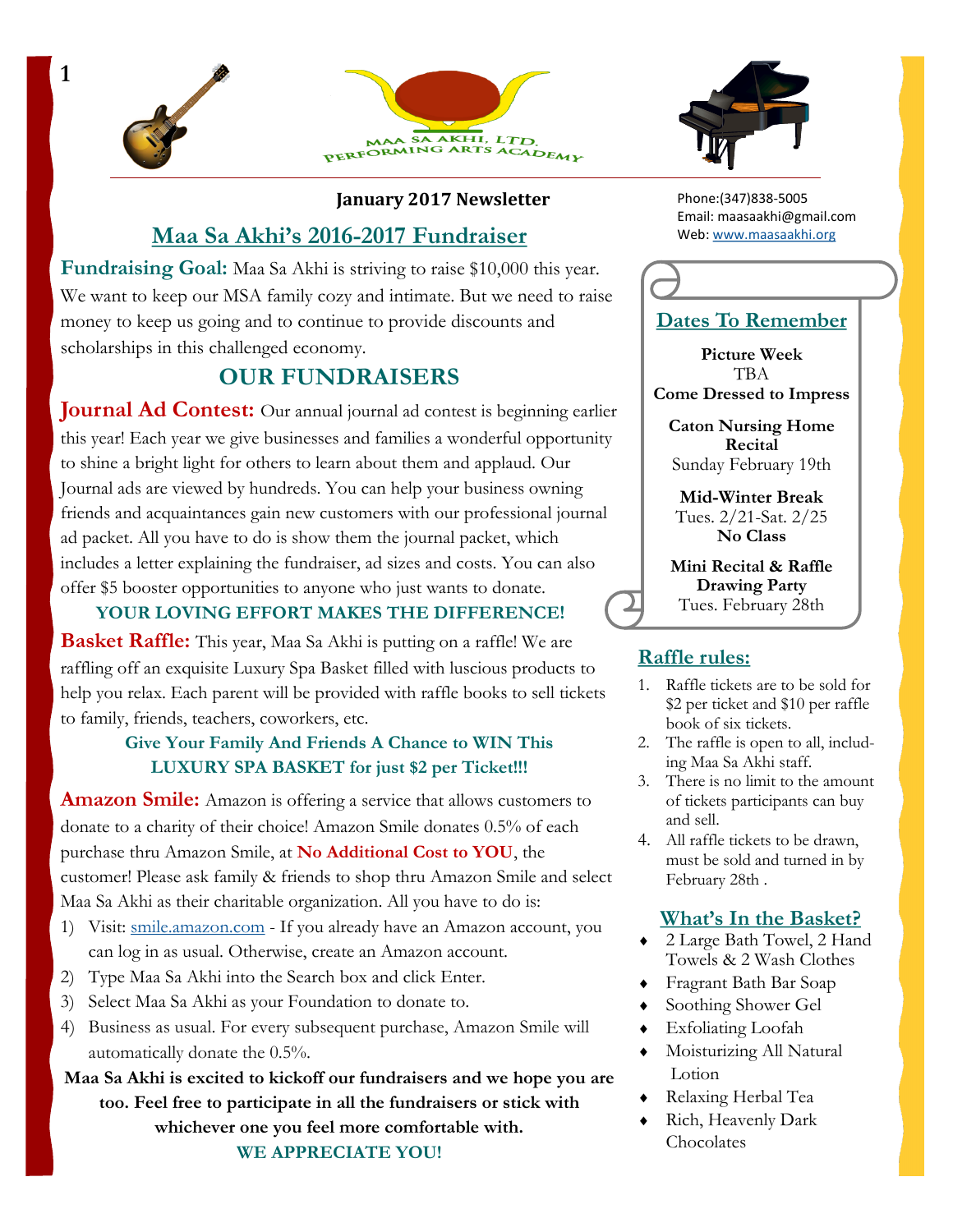



#### **January 2017 Newsletter**

### **Maa Sa Akhi's 2016-2017 Fundraiser**

**Fundraising Goal:** Maa Sa Akhi is striving to raise \$10,000 this year. We want to keep our MSA family cozy and intimate. But we need to raise money to keep us going and to continue to provide discounts and scholarships in this challenged economy.

## **OUR FUNDRAISERS**

**Journal Ad Contest:** Our annual journal ad contest is beginning earlier this year! Each year we give businesses and families a wonderful opportunity to shine a bright light for others to learn about them and applaud. Our Journal ads are viewed by hundreds. You can help your business owning friends and acquaintances gain new customers with our professional journal ad packet. All you have to do is show them the journal packet, which includes a letter explaining the fundraiser, ad sizes and costs. You can also offer \$5 booster opportunities to anyone who just wants to donate.

**YOUR LOVING EFFORT MAKES THE DIFFERENCE!** 

**Basket Raffle:** This year, Maa Sa Akhi is putting on a raffle! We are raffling off an exquisite Luxury Spa Basket filled with luscious products to help you relax. Each parent will be provided with raffle books to sell tickets to family, friends, teachers, coworkers, etc.

### **Give Your Family And Friends A Chance to WIN This LUXURY SPA BASKET for just \$2 per Ticket!!!**

**Amazon Smile:** Amazon is offering a service that allows customers to donate to a charity of their choice! Amazon Smile donates 0.5% of each purchase thru Amazon Smile, at **No Additional Cost to YOU**, the customer! Please ask family & friends to shop thru Amazon Smile and select Maa Sa Akhi as their charitable organization. All you have to do is:

- 1) Visit: [smile.amazon.com](http://www.smile.amazon.com) If you already have an Amazon account, you can log in as usual. Otherwise, create an Amazon account.
- 2) Type Maa Sa Akhi into the Search box and click Enter.
- 3) Select Maa Sa Akhi as your Foundation to donate to.
- 4) Business as usual. For every subsequent purchase, Amazon Smile will automatically donate the 0.5%.

**Maa Sa Akhi is excited to kickoff our fundraisers and we hope you are too. Feel free to participate in all the fundraisers or stick with whichever one you feel more comfortable with. WE APPRECIATE YOU!**



Phone:(347)838-5005 Email: maasaakhi@gmail.com Web: [www.maasaakhi.org](http://www.maasaakhi.org)



**Picture Week** TBA **Come Dressed to Impress**

**Caton Nursing Home Recital** Sunday February 19th

**Mid-Winter Break** Tues. 2/21-Sat. 2/25 **No Class**

**Mini Recital & Raffle Drawing Party** Tues. February 28th

### **Raffle rules:**

- 1. Raffle tickets are to be sold for \$2 per ticket and \$10 per raffle book of six tickets.
- 2. The raffle is open to all, including Maa Sa Akhi staff.
- 3. There is no limit to the amount of tickets participants can buy and sell.
- 4. All raffle tickets to be drawn, must be sold and turned in by February 28th .

### **What's In the Basket?**

- 2 Large Bath Towel, 2 Hand Towels & 2 Wash Clothes
- Fragrant Bath Bar Soap
- Soothing Shower Gel
- Exfoliating Loofah
- Moisturizing All Natural Lotion
- Relaxing Herbal Tea
- Rich, Heavenly Dark **Chocolates**

**1**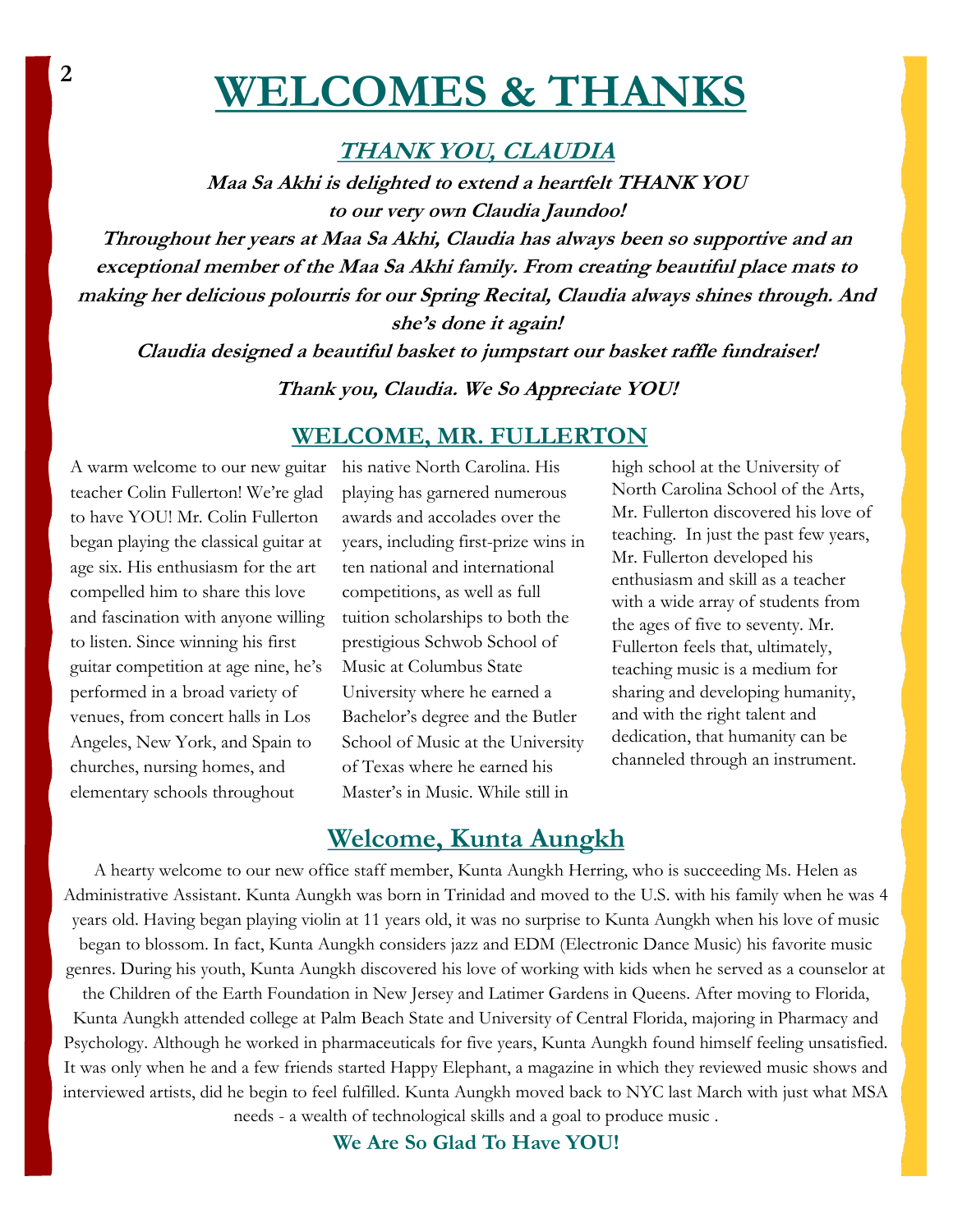## **WELCOMES & THANKS <sup>2</sup>**

### **THANK YOU, CLAUDIA**

**Maa Sa Akhi is delighted to extend a heartfelt THANK YOU to our very own Claudia Jaundoo!**

**Throughout her years at Maa Sa Akhi, Claudia has always been so supportive and an exceptional member of the Maa Sa Akhi family. From creating beautiful place mats to making her delicious polourris for our Spring Recital, Claudia always shines through. And she's done it again!**

**Claudia designed a beautiful basket to jumpstart our basket raffle fundraiser!**

**Thank you, Claudia. We So Appreciate YOU!**

### **WELCOME, MR. FULLERTON**

A warm welcome to our new guitar teacher Colin Fullerton! We're glad to have YOU! Mr. Colin Fullerton began playing the classical guitar at age six. His enthusiasm for the art compelled him to share this love and fascination with anyone willing to listen. Since winning his first guitar competition at age nine, he's performed in a broad variety of venues, from concert halls in Los Angeles, New York, and Spain to churches, nursing homes, and elementary schools throughout

his native North Carolina. His playing has garnered numerous awards and accolades over the years, including first-prize wins in ten national and international competitions, as well as full tuition scholarships to both the prestigious Schwob School of Music at Columbus State University where he earned a Bachelor's degree and the Butler School of Music at the University of Texas where he earned his Master's in Music. While still in

high school at the University of North Carolina School of the Arts, Mr. Fullerton discovered his love of teaching. In just the past few years, Mr. Fullerton developed his enthusiasm and skill as a teacher with a wide array of students from the ages of five to seventy. Mr. Fullerton feels that, ultimately, teaching music is a medium for sharing and developing humanity, and with the right talent and dedication, that humanity can be channeled through an instrument.

## **Welcome, Kunta Aungkh**

A hearty welcome to our new office staff member, Kunta Aungkh Herring, who is succeeding Ms. Helen as Administrative Assistant. Kunta Aungkh was born in Trinidad and moved to the U.S. with his family when he was 4 years old. Having began playing violin at 11 years old, it was no surprise to Kunta Aungkh when his love of music began to blossom. In fact, Kunta Aungkh considers jazz and EDM (Electronic Dance Music) his favorite music genres. During his youth, Kunta Aungkh discovered his love of working with kids when he served as a counselor at

the Children of the Earth Foundation in New Jersey and Latimer Gardens in Queens. After moving to Florida, Kunta Aungkh attended college at Palm Beach State and University of Central Florida, majoring in Pharmacy and Psychology. Although he worked in pharmaceuticals for five years, Kunta Aungkh found himself feeling unsatisfied. It was only when he and a few friends started Happy Elephant, a magazine in which they reviewed music shows and interviewed artists, did he begin to feel fulfilled. Kunta Aungkh moved back to NYC last March with just what MSA needs - a wealth of technological skills and a goal to produce music .

**We Are So Glad To Have YOU!**